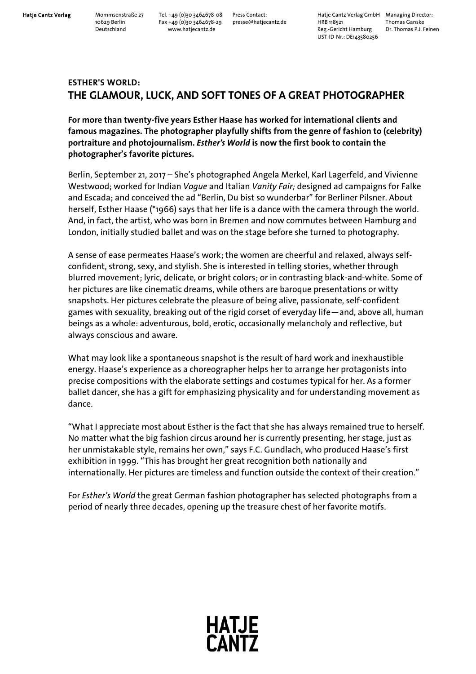**Hatje Cantz Verlag** Mommsenstraße 27 Tel. +49 (0)30 3464678-08 Press Contact: Hatje Cantz Verlag GmbH Managing Director: 10629 Berlin Fax +49 (0)30 3464678-29 presse@hatjecantz.de HRB 118521 Thomas Ganske Deutschland www.hatjecantz.de Reg.-Gericht Hamburg Dr. Thomas P.J. Feinen UST-ID-Nr.: DE143580256

## **ESTHER'S WORLD: THE GLAMOUR, LUCK, AND SOFT TONES OF A GREAT PHOTOGRAPHER**

**For more than twenty-five years Esther Haase has worked for international clients and famous magazines. The photographer playfully shifts from the genre of fashion to (celebrity) portraiture and photojournalism.** *Esther's World* **is now the first book to contain the photographer's favorite pictures.** 

Berlin, September 21, 2017 – She's photographed Angela Merkel, Karl Lagerfeld, and Vivienne Westwood; worked for Indian *Vogue* and Italian *Vanity Fair;* designed ad campaigns for Falke and Escada; and conceived the ad "Berlin, Du bist so wunderbar" for Berliner Pilsner. About herself, Esther Haase (\*1966) says that her life is a dance with the camera through the world. And, in fact, the artist, who was born in Bremen and now commutes between Hamburg and London, initially studied ballet and was on the stage before she turned to photography.

A sense of ease permeates Haase's work; the women are cheerful and relaxed, always selfconfident, strong, sexy, and stylish. She is interested in telling stories, whether through blurred movement; lyric, delicate, or bright colors; or in contrasting black-and-white. Some of her pictures are like cinematic dreams, while others are baroque presentations or witty snapshots. Her pictures celebrate the pleasure of being alive, passionate, self-confident games with sexuality, breaking out of the rigid corset of everyday life—and, above all, human beings as a whole: adventurous, bold, erotic, occasionally melancholy and reflective, but always conscious and aware.

What may look like a spontaneous snapshot is the result of hard work and inexhaustible energy. Haase's experience as a choreographer helps her to arrange her protagonists into precise compositions with the elaborate settings and costumes typical for her. As a former ballet dancer, she has a gift for emphasizing physicality and for understanding movement as dance.

"What I appreciate most about Esther is the fact that she has always remained true to herself. No matter what the big fashion circus around her is currently presenting, her stage, just as her unmistakable style, remains her own," says F.C. Gundlach, who produced Haase's first exhibition in 1999. "This has brought her great recognition both nationally and internationally. Her pictures are timeless and function outside the context of their creation."

For *Esther's World* the great German fashion photographer has selected photographs from a period of nearly three decades, opening up the treasure chest of her favorite motifs.

**HATJE<br>CANTZ**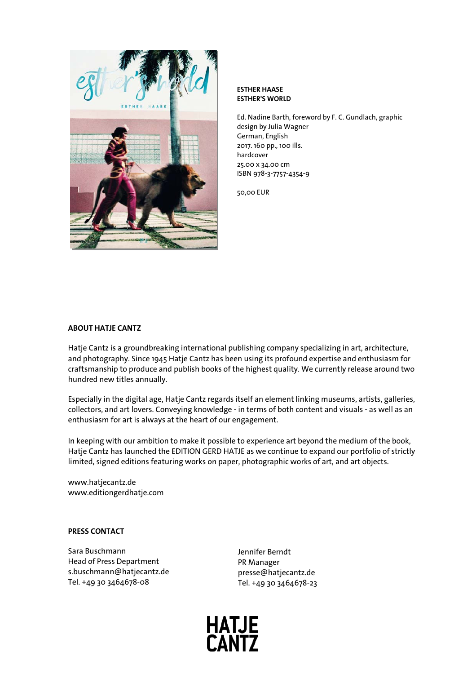

#### **ESTHER HAASE ESTHER'S WORLD**

Ed. Nadine Barth, foreword by F. C. Gundlach, graphic design by Julia Wagner German, English 2017. 160 pp., 100 ills. hardcover 25.00 x 34.00 cm ISBN 978-3-7757-4354-9

50,00 EUR

#### **ABOUT HATJE CANTZ**

Hatje Cantz is a groundbreaking international publishing company specializing in art, architecture, and photography. Since 1945 Hatje Cantz has been using its profound expertise and enthusiasm for craftsmanship to produce and publish books of the highest quality. We currently release around two hundred new titles annually.

Especially in the digital age, Hatje Cantz regards itself an element linking museums, artists, galleries, collectors, and art lovers. Conveying knowledge - in terms of both content and visuals - as well as an enthusiasm for art is always at the heart of our engagement.

In keeping with our ambition to make it possible to experience art beyond the medium of the book, Hatje Cantz has launched the EDITION GERD HATJE as we continue to expand our portfolio of strictly limited, signed editions featuring works on paper, photographic works of art, and art objects.

www.hatjecantz.de www.editiongerdhatje.com

### **PRESS CONTACT**

Sara Buschmann Head of Press Department s.buschmann@hatjecantz.de Tel. +49 30 3464678-08

Jennifer Berndt PR Manager presse@hatjecantz.de Tel. +49 30 3464678-23

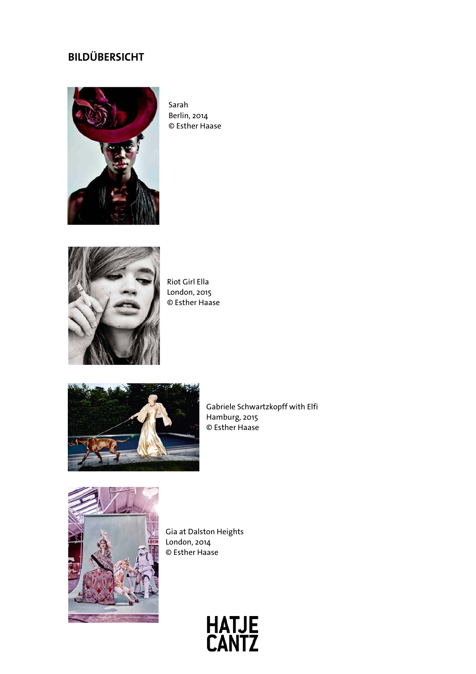# **BILDÜBERSICHT**



Sarah Berlin, 2014 © Esther Haase



Riot Girl Ella London, 2015 © Esther Haase



Gabriele Schwartzkopff with Elfi Hamburg, 2015 © Esther Haase



Gia at Dalston Heights London, 2014 © Esther Haase

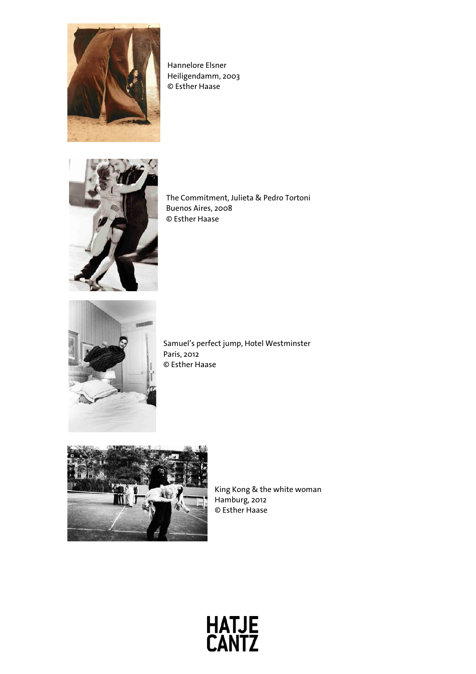

Hannelore Elsner Heiligendamm, 2003 © Esther Haase



The Commitment, Julieta & Pedro Tortoni Buenos Aires, 2008 © Esther Haase



Samuel's perfect jump, Hotel Westminster Paris, 2012 © Esther Haase



King Kong & the white woman Hamburg, 2012 © Esther Haase